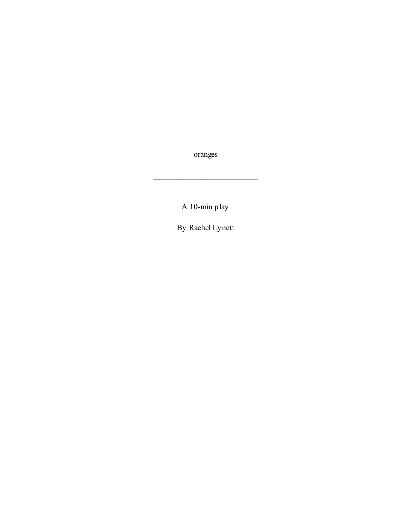oranges

A 10-min play

By Rachel Lynett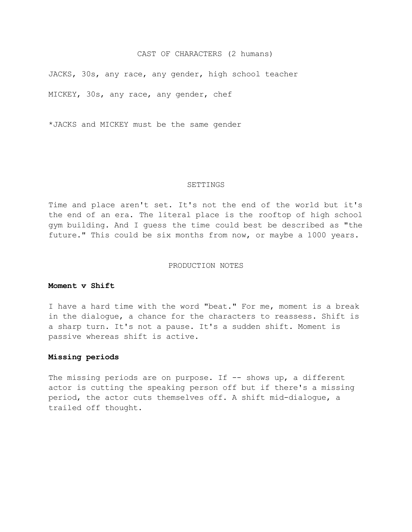#### CAST OF CHARACTERS (2 humans)

JACKS, 30s, any race, any gender, high school teacher MICKEY, 30s, any race, any gender, chef

\*JACKS and MICKEY must be the same gender

#### SETTINGS

Time and place aren't set. It's not the end of the world but it's the end of an era. The literal place is the rooftop of high school gym building. And I guess the time could best be described as "the future." This could be six months from now, or maybe a 1000 years.

#### PRODUCTION NOTES

#### Moment v Shift

I have a hard time with the word "beat." For me, moment is a break in the dialogue, a chance for the characters to reassess. Shift is a sharp turn. It's not a pause. It's a sudden shift. Moment is passive whereas shift is active.

#### Missing periods

The missing periods are on purpose. If  $-$  shows up, a different actor is cutting the speaking person off but if there's a missing period, the actor cuts themselves off. A shift mid-dialogue, a trailed off thought.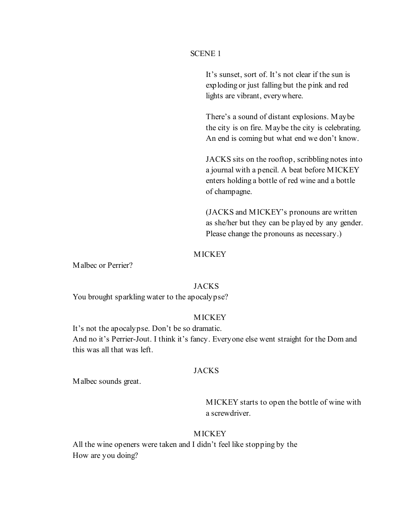#### SCENE 1

It's sunset, sort of. It's not clear if the sun is exploding or just falling but the pink and red lights are vibrant, everywhere.

There's a sound of distant explosions. Maybe the city is on fire. Maybe the city is celebrating. An end is coming but what end we don't know.

JACKS sits on the rooftop, scribbling notes into a journal with a pencil. A beat before MICKEY enters holding a bottle of red wine and a bottle of champagne.

(JACKS and MICKEY's pronouns are written as she/her but they can be played by any gender. Please change the pronouns as necessary.)

#### **MICKEY**

Malbec or Perrier?

#### JACKS

You brought sparkling water to the apocalypse?

#### **MICKEY**

It's not the apocalypse. Don't be so dramatic. And no it's Perrier-Jout. I think it's fancy. Everyone else went straight for the Dom and this was all that was left.

#### JACKS

Malbec sounds great.

MICKEY starts to open the bottle of wine with a screwdriver.

## **MICKEY**

All the wine openers were taken and I didn't feel like stopping by the How are you doing?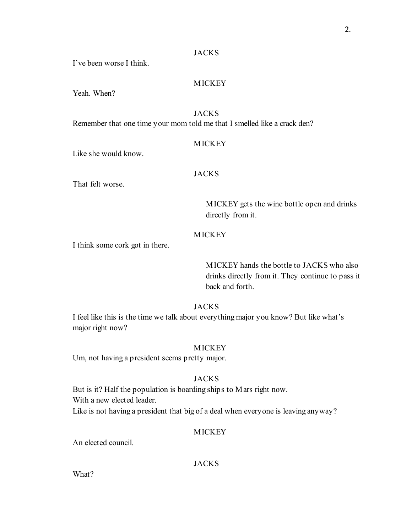I've been worse I think.

# **MICKEY**

Yeah. When?

# JACKS

Remember that one time your mom told me that I smelled like a crack den?

# **MICKEY**

Like she would know.

# **JACKS**

That felt worse.

MICKEY gets the wine bottle open and drinks directly from it.

# **MICKEY**

I think some cork got in there.

MICKEY hands the bottle to JACKS who also drinks directly from it. They continue to pass it back and forth.

# JACKS

I feel like this is the time we talk about everything major you know? But like what's major right now?

# **MICKEY**

Um, not having a president seems pretty major.

# JACKS

But is it? Half the population is boarding ships to Mars right now. With a new elected leader. Like is not having a president that big of a deal when everyone is leaving anyway?

# **MICKEY**

An elected council.

# JACKS

What?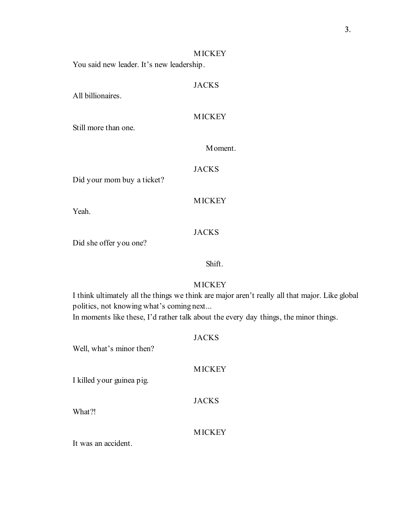#### MICKEY

You said new leader. It's new leadership.

## **JACKS**

All billionaires.

## **MICKEY**

Still more than one.

## Moment.

#### JACKS

Did your mom buy a ticket?

## **MICKEY**

Yeah.

## JACKS

Did she offer you one?

Well, what's minor then?

I killed your guinea pig.

## Shift.

## **MICKEY**

I think ultimately all the things we think are major aren't really all that major. Like global politics, not knowing what's coming next...

In moments like these, I'd rather talk about the every day things, the minor things.

JACKS **MICKEY** 

JACKS

What?!

## MICKEY

It was an accident.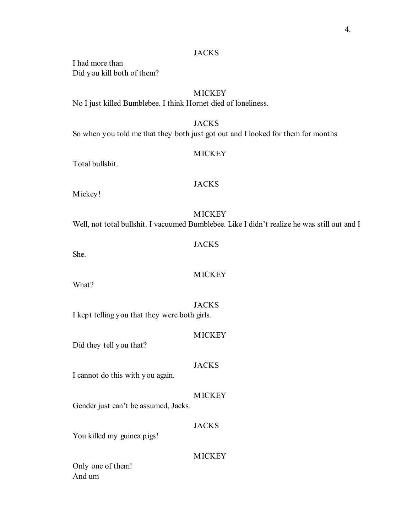I had more than Did you kill both of them?

## **MICKEY**

No I just killed Bumblebee. I think Hornet died of loneliness.

# **JACKS**

So when you told me that they both just got out and I looked for them for months

#### **MICKEY**

Total bullshit.

## JACKS

Mickey!

**MICKEY** Well, not total bullshit. I vacuumed Bumblebee. Like I didn't realize he was still out and I

# **JACKS**

She.

## **MICKEY**

What?

# **JACKS**

I kept telling you that they were both girls.

#### **MICKEY**

Did they tell you that?

## JACKS

I cannot do this with you again.

## **MICKEY**

Gender just can't be assumed, Jacks.

#### **JACKS**

You killed my guinea pigs!

## **MICKEY**

Only one of them! And um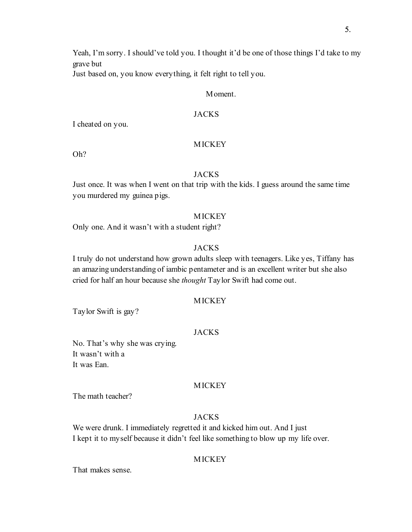Yeah, I'm sorry. I should've told you. I thought it'd be one of those things I'd take to my grave but

Just based on, you know everything, it felt right to tell you.

#### Moment.

#### JACKS

I cheated on you.

## **MICKEY**

Oh?

## JACKS

Just once. It was when I went on that trip with the kids. I guess around the same time you murdered my guinea pigs.

## **MICKEY**

Only one. And it wasn't with a student right?

## JACKS

I truly do not understand how grown adults sleep with teenagers. Like yes, Tiffany has an amazing understanding of iambic pentameter and is an excellent writer but she also cried for half an hour because she thought Taylor Swift had come out.

## **MICKEY**

Taylor Swift is gay?

## JACKS

No. That's why she was crying. It wasn't with a It was Ean.

#### **MICKEY**

The math teacher?

## JACKS

We were drunk. I immediately regretted it and kicked him out. And I just I kept it to myself because it didn't feel like something to blow up my life over.

#### **MICKEY**

That makes sense.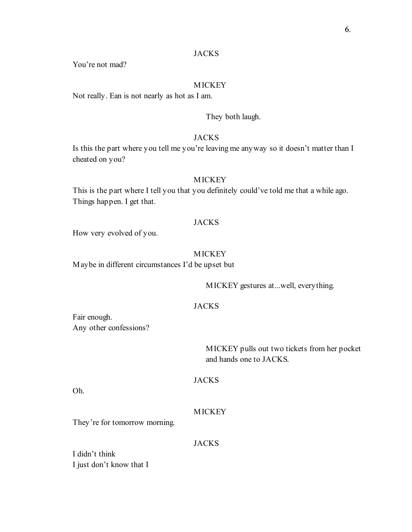You're not mad?

## **MICKEY**

Not really. Ean is not nearly as hot as I am.

They both laugh.

## **JACKS**

Is this the part where you tell me you're leaving me anyway so it doesn't matter than I cheated on you?

#### **MICKEY**

This is the part where I tell you that you definitely could've told me that a while ago. Things happen. I get that.

### JACKS

How very evolved of you.

#### **MICKEY**

Maybe in different circumstances I'd be upset but

## MICKEY gestures at...well, everything.

#### JACKS

Fair enough. Any other confessions?

> MICKEY pulls out two tickets from her pocket and hands one to JACKS.

#### JACKS

Oh.

#### **MICKEY**

They're for tomorrow morning.

## JACKS

I didn't think I just don't know that I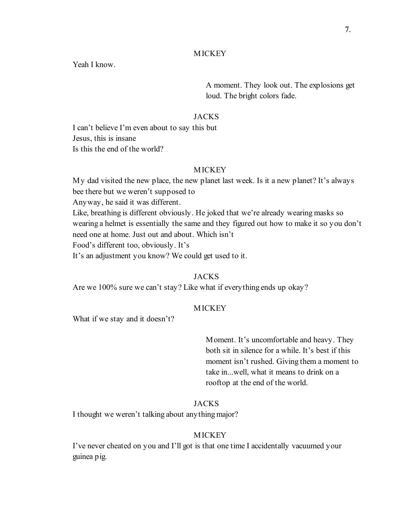#### **MICKEY**

Yeah I know.

A moment. They look out. The explosions get loud. The bright colors fade.

#### JACKS

I can't believe I'm even about to say this but Jesus, this is insane Is this the end of the world?

## **MICKEY**

My dad visited the new place, the new planet last week. Is it a new planet? It's always bee there but we weren't supposed to Anyway, he said it was different. Like, breathing is different obviously. He joked that we're already wearing masks so wearing a helmet is essentially the same and they figured out how to make it so you don't need one at home. Just out and about. Which isn't Food's different too, obviously. It's It's an adjustment you know? We could get used to it.

## JACKS

Are we 100% sure we can't stay? Like what if everything ends up okay?

#### **MICKEY**

What if we stay and it doesn't?

Moment. It's uncomfortable and heavy. They both sit in silence for a while. It's best if this moment isn't rushed. Giving them a moment to take in...well, what it means to drink on a rooftop at the end of the world.

## JACKS

I thought we weren't talking about anything major?

#### **MICKEY**

I've never cheated on you and I'll got is that one time I accidentally vacuumed your guinea pig.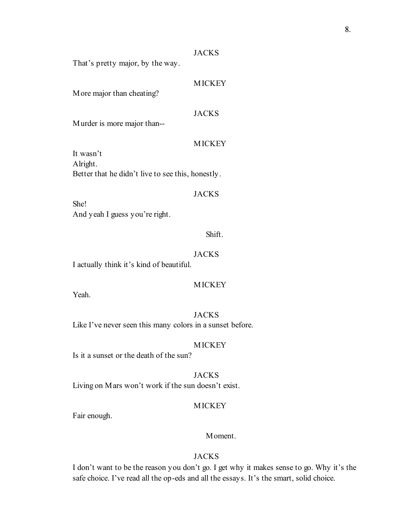That's pretty major, by the way.

#### **MICKEY**

More major than cheating?

#### **JACKS**

Murder is more major than--

#### **MICKEY**

It wasn't Alright. Better that he didn't live to see this, honestly.

## **JACKS**

She! And yeah I guess you're right.

## Shift.

#### JACKS

I actually think it's kind of beautiful.

## **MICKEY**

Yeah.

## **JACKS** Like I've never seen this many colors in a sunset before.

## **MICKEY**

Is it a sunset or the death of the sun?

**JACKS** Living on Mars won't work if the sun doesn't exist.

#### **MICKEY**

Fair enough.

#### Moment.

## JACKS

I don't want to be the reason you don't go. I get why it makes sense to go. Why it's the safe choice. I've read all the op-eds and all the essays. It's the smart, solid choice.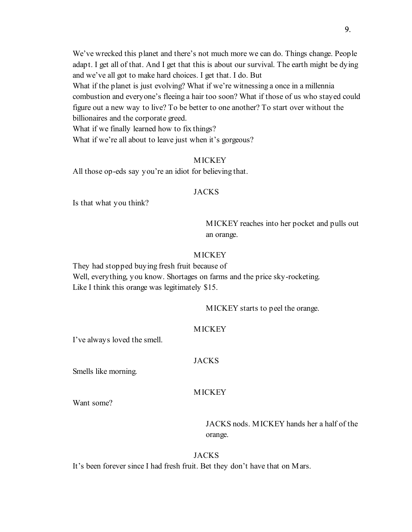We've wrecked this planet and there's not much more we can do. Things change. People adapt. I get all of that. And I get that this is about our survival. The earth might be dying and we've all got to make hard choices. I get that. I do. But

What if the planet is just evolving? What if we're witnessing a once in a millennia combustion and everyone's fleeing a hair too soon? What if those of us who stayed could figure out a new way to live? To be better to one another? To start over without the billionaires and the corporate greed.

What if we finally learned how to fix things?

# What if we're all about to leave just when it's gorgeous?

## **MICKEY**

All those op-eds say you're an idiot for believing that.

## JACKS

Is that what you think?

MICKEY reaches into her pocket and pulls out an orange.

## **MICKEY**

They had stopped buying fresh fruit because of Well, everything, you know. Shortages on farms and the price sky-rocketing. Like I think this orange was legitimately \$15.

MICKEY starts to peel the orange.

## **MICKEY**

I've always loved the smell.

## JACKS

Smells like morning.

## **MICKEY**

Want some?

JACKS nods. MICKEY hands her a half of the orange.

## JACKS

It's been forever since I had fresh fruit. Bet they don't have that on Mars.